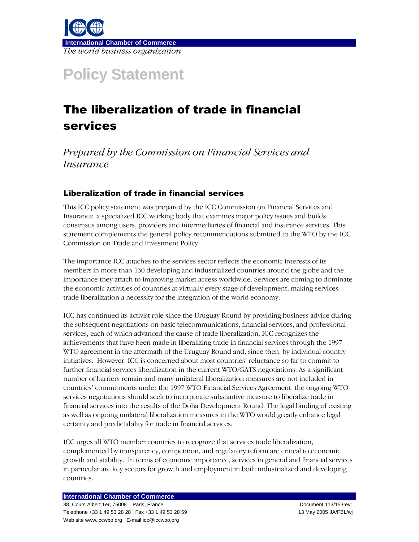

# **Policy Statement**

# The liberalization of trade in financial services

Prepared by the Commission on Financial Services and *Insurance* 

## Liberalization of trade in financial services

This ICC policy statement was prepared by the ICC Commission on Financial Services and Insurance, a specialized ICC working body that examines major policy issues and builds consensus among users, providers and intermediaries of financial and insurance services. This statement complements the general policy recommendations submitted to the WTO by the ICC Commission on Trade and Investment Policy.

The importance ICC attaches to the services sector reflects the economic interests of its members in more than 130 developing and industrialized countries around the globe and the importance they attach to improving market access worldwide. Services are coming to dominate the economic activities of countries at virtually every stage of development, making services trade liberalization a necessity for the integration of the world economy.

ICC has continued its activist role since the Uruguay Round by providing business advice during the subsequent negotiations on basic telecommunications, financial services, and professional services, each of which advanced the cause of trade liberalization. ICC recognizes the achievements that have been made in liberalizing trade in financial services through the 1997 WTO agreement in the aftermath of the Uruguay Round and, since then, by individual country initiatives. However, ICC is concerned about most countries' reluctance so far to commit to further financial services liberalization in the current WTO/GATS negotiations. As a significant number of barriers remain and many unilateral liberalization measures are not included in countries' commitments under the 1997 WTO Financial Services Agreement, the ongoing WTO services negotiations should seek to incorporate substantive measure to liberalize trade in financial services into the results of the Doha Development Round. The legal binding of existing as well as ongoing unilateral liberalization measures in the WTO would greatly enhance legal certainty and predictability for trade in financial services.

ICC urges all WTO member countries to recognize that services trade liberalization, complemented by transparency, competition, and regulatory reform are critical to economic growth and stability. In terms of economic importance, services in general and financial services in particular are key sectors for growth and employment in both industrialized and developing countries.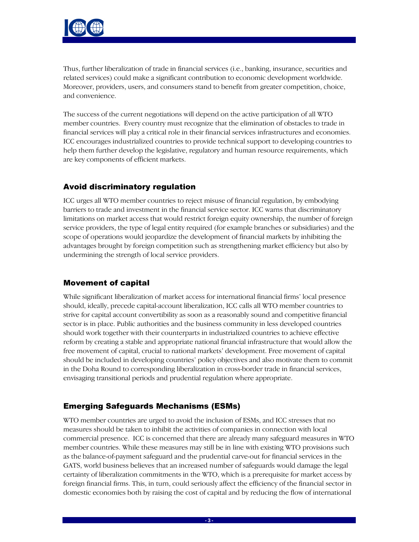

Thus, further liberalization of trade in financial services (i.e., banking, insurance, securities and related services) could make a significant contribution to economic development worldwide. Moreover, providers, users, and consumers stand to benefit from greater competition, choice, and convenience.

The success of the current negotiations will depend on the active participation of all WTO member countries. Every country must recognize that the elimination of obstacles to trade in financial services will play a critical role in their financial services infrastructures and economies. ICC encourages industrialized countries to provide technical support to developing countries to help them further develop the legislative, regulatory and human resource requirements, which are key components of efficient markets.

## Avoid discriminatory regulation

ICC urges all WTO member countries to reject misuse of financial regulation, by embodying barriers to trade and investment in the financial service sector. ICC warns that discriminatory limitations on market access that would restrict foreign equity ownership, the number of foreign service providers, the type of legal entity required (for example branches or subsidiaries) and the scope of operations would jeopardize the development of financial markets by inhibiting the advantages brought by foreign competition such as strengthening market efficiency but also by undermining the strength of local service providers.

## Movement of capital

While significant liberalization of market access for international financial firms' local presence should, ideally, precede capital-account liberalization, ICC calls all WTO member countries to strive for capital account convertibility as soon as a reasonably sound and competitive financial sector is in place. Public authorities and the business community in less developed countries should work together with their counterparts in industrialized countries to achieve effective reform by creating a stable and appropriate national financial infrastructure that would allow the free movement of capital, crucial to national markets' development. Free movement of capital should be included in developing countries' policy objectives and also motivate them to commit in the Doha Round to corresponding liberalization in cross-border trade in financial services, envisaging transitional periods and prudential regulation where appropriate.

## Emerging Safeguards Mechanisms (ESMs)

WTO member countries are urged to avoid the inclusion of ESMs, and ICC stresses that no measures should be taken to inhibit the activities of companies in connection with local commercial presence. ICC is concerned that there are already many safeguard measures in WTO member countries. While these measures may still be in line with existing WTO provisions such as the balance-of-payment safeguard and the prudential carve-out for financial services in the GATS, world business believes that an increased number of safeguards would damage the legal certainty of liberalization commitments in the WTO, which is a prerequisite for market access by foreign financial firms. This, in turn, could seriously affect the efficiency of the financial sector in domestic economies both by raising the cost of capital and by reducing the flow of international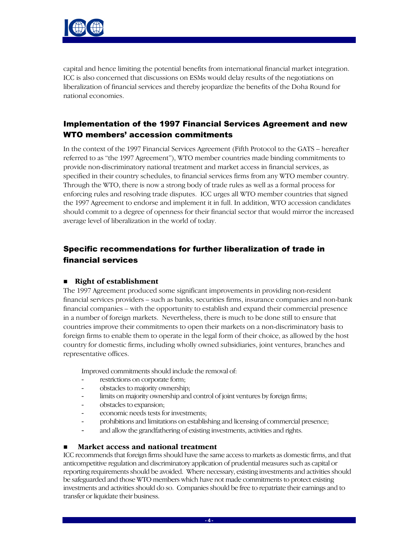

capital and hence limiting the potential benefits from international financial market integration. ICC is also concerned that discussions on ESMs would delay results of the negotiations on liberalization of financial services and thereby jeopardize the benefits of the Doha Round for national economies.

## Implementation of the 1997 Financial Services Agreement and new WTO members' accession commitments

In the context of the 1997 Financial Services Agreement (Fifth Protocol to the GATS – hereafter referred to as "the 1997 Agreement"), WTO member countries made binding commitments to provide non-discriminatory national treatment and market access in financial services, as specified in their country schedules, to financial services firms from any WTO member country. Through the WTO, there is now a strong body of trade rules as well as a formal process for enforcing rules and resolving trade disputes. ICC urges all WTO member countries that signed the 1997 Agreement to endorse and implement it in full. In addition, WTO accession candidates should commit to a degree of openness for their financial sector that would mirror the increased average level of liberalization in the world of today.

# Specific recommendations for further liberalization of trade in financial services

#### ■ Right of establishment

The 1997 Agreement produced some significant improvements in providing non-resident financial services providers – such as banks, securities firms, insurance companies and non-bank financial companies – with the opportunity to establish and expand their commercial presence in a number of foreign markets. Nevertheless, there is much to be done still to ensure that countries improve their commitments to open their markets on a non-discriminatory basis to foreign firms to enable them to operate in the legal form of their choice, as allowed by the host country for domestic firms, including wholly owned subsidiaries, joint ventures, branches and representative offices.

Improved commitments should include the removal of:

- restrictions on corporate form;
- obstacles to majority ownership;
- limits on majority ownership and control of joint ventures by foreign firms;
- obstacles to expansion:
- economic needs tests for investments;
- prohibitions and limitations on establishing and licensing of commercial presence;
- and allow the grandfathering of existing investments, activities and rights.

#### Market access and national treatment

ICC recommends that foreign firms should have the same access to markets as domestic firms, and that anticompetitive regulation and discriminatory application of prudential measures such as capital or reporting requirements should be avoided. Where necessary, existing investments and activities should be safeguarded and those WTO members which have not made commitments to protect existing investments and activities should do so. Companies should be free to repatriate their earnings and to transfer or liquidate their business.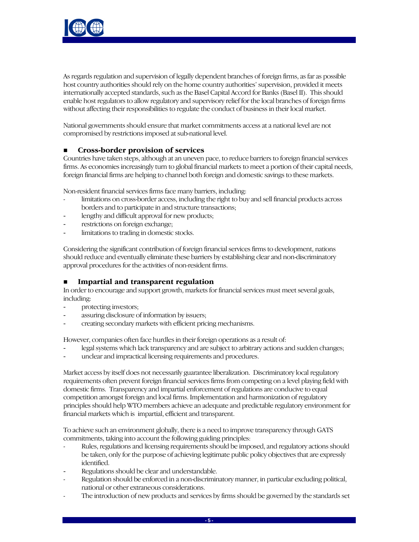

As regards regulation and supervision of legally dependent branches of foreign firms, as far as possible host country authorities should rely on the home country authorities' supervision, provided it meets internationally accepted standards, such as the Basel Capital Accord for Banks (Basel II). This should enable host regulators to allow regulatory and supervisory relief for the local branches of foreign firms without affecting their responsibilities to regulate the conduct of business in their local market.

National governments should ensure that market commitments access at a national level are not compromised by restrictions imposed at sub-national level.

#### Cross-border provision of services

Countries have taken steps, although at an uneven pace, to reduce barriers to foreign financial services firms. As economies increasingly turn to global financial markets to meet a portion of their capital needs, foreign financial firms are helping to channel both foreign and domestic savings to these markets.

Non-resident financial services firms face many barriers, including:

- limitations on cross-border access, including the right to buy and sell financial products across borders and to participate in and structure transactions;
- lengthy and difficult approval for new products;
- restrictions on foreign exchange;
- limitations to trading in domestic stocks.

Considering the significant contribution of foreign financial services firms to development, nations should reduce and eventually eliminate these barriers by establishing clear and non-discriminatory approval procedures for the activities of non-resident firms.

#### **Impartial and transparent regulation**

In order to encourage and support growth, markets for financial services must meet several goals, including:

- protecting investors;
- assuring disclosure of information by issuers;
- creating secondary markets with efficient pricing mechanisms.

However, companies often face hurdles in their foreign operations as a result of:

- legal systems which lack transparency and are subject to arbitrary actions and sudden changes;
- unclear and impractical licensing requirements and procedures.

Market access by itself does not necessarily guarantee liberalization. Discriminatory local regulatory requirements often prevent foreign financial services firms from competing on a level playing field with domestic firms. Transparency and impartial enforcement of regulations are conducive to equal competition amongst foreign and local firms. Implementation and harmonization of regulatory principles should help WTO members achieve an adequate and predictable regulatory environment for financial markets which is impartial, efficient and transparent.

To achieve such an environment globally, there is a need to improve transparency through GATS commitments, taking into account the following guiding principles:

- Rules, regulations and licensing requirements should be imposed, and regulatory actions should be taken, only for the purpose of achieving legitimate public policy objectives that are expressly identified.
- Regulations should be clear and understandable.
- Regulation should be enforced in a non-discriminatory manner, in particular excluding political, national or other extraneous considerations.
- The introduction of new products and services by firms should be governed by the standards set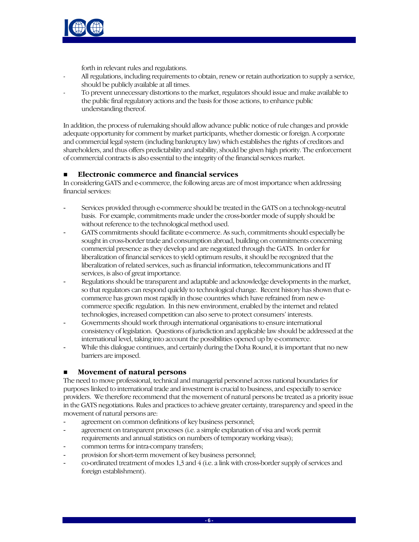

forth in relevant rules and regulations.

- All regulations, including requirements to obtain, renew or retain authorization to supply a service, should be publicly available at all times.
- To prevent unnecessary distortions to the market, regulators should issue and make available to the public final regulatory actions and the basis for those actions, to enhance public understanding thereof.

In addition, the process of rulemaking should allow advance public notice of rule changes and provide adequate opportunity for comment by market participants, whether domestic or foreign. A corporate and commercial legal system (including bankruptcy law) which establishes the rights of creditors and shareholders, and thus offers predictability and stability, should be given high priority. The enforcement of commercial contracts is also essential to the integrity of the financial services market.

### ■ Electronic commerce and financial services

In considering GATS and e-commerce, the following areas are of most importance when addressing financial services:

- Services provided through e-commerce should be treated in the GATS on a technology-neutral basis. For example, commitments made under the cross-border mode of supply should be without reference to the technological method used.
- GATS commitments should facilitate e-commerce. As such, commitments should especially be sought in cross-border trade and consumption abroad, building on commitments concerning commercial presence as they develop and are negotiated through the GATS. In order for liberalization of financial services to yield optimum results, it should be recognized that the liberalization of related services, such as financial information, telecommunications and IT services, is also of great importance.
- Regulations should be transparent and adaptable and acknowledge developments in the market, so that regulators can respond quickly to technological change. Recent history has shown that ecommerce has grown most rapidly in those countries which have refrained from new ecommerce specific regulation. In this new environment, enabled by the internet and related technologies, increased competition can also serve to protect consumers' interests.
- Governments should work through international organisations to ensure international consistency of legislation. Questions of jurisdiction and applicable law should be addressed at the international level, taking into account the possibilities opened up by e-commerce.
- While this dialogue continues, and certainly during the Doha Round, it is important that no new barriers are imposed.

#### **Novement of natural persons**

The need to move professional, technical and managerial personnel across national boundaries for purposes linked to international trade and investment is crucial to business, and especially to service providers. We therefore recommend that the movement of natural persons be treated as a priority issue in the GATS negotiations. Rules and practices to achieve greater certainty, transparency and speed in the movement of natural persons are:

- agreement on common definitions of key business personnel;
- agreement on transparent processes (i.e. a simple explanation of visa and work permit requirements and annual statistics on numbers of temporary working visas);
- common terms for intra-company transfers;
- provision for short-term movement of key business personnel;
- co-ordinated treatment of modes 1,3 and 4 (i.e. a link with cross-border supply of services and foreign establishment).